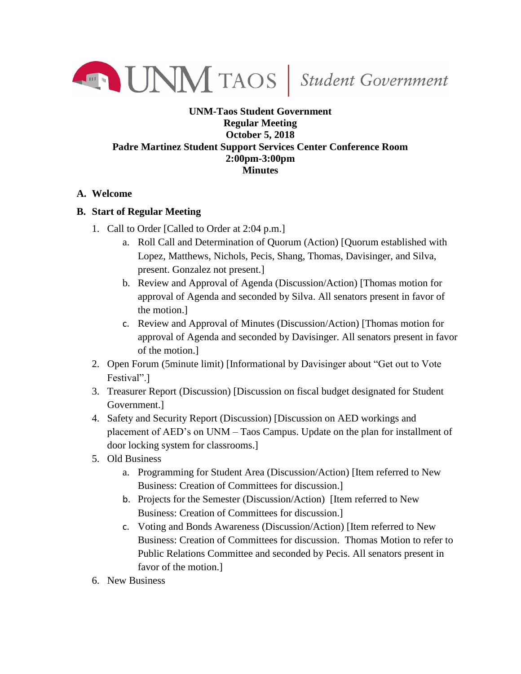

## **UNM-Taos Student Government Regular Meeting October 5, 2018 Padre Martinez Student Support Services Center Conference Room 2:00pm-3:00pm Minutes**

## **A. Welcome**

## **B. Start of Regular Meeting**

- 1. Call to Order [Called to Order at 2:04 p.m.]
	- a. Roll Call and Determination of Quorum (Action) [Quorum established with Lopez, Matthews, Nichols, Pecis, Shang, Thomas, Davisinger, and Silva, present. Gonzalez not present.]
	- b. Review and Approval of Agenda (Discussion/Action) [Thomas motion for approval of Agenda and seconded by Silva. All senators present in favor of the motion.]
	- c. Review and Approval of Minutes (Discussion/Action) [Thomas motion for approval of Agenda and seconded by Davisinger. All senators present in favor of the motion.]
- 2. Open Forum (5minute limit) [Informational by Davisinger about "Get out to Vote Festival".]
- 3. Treasurer Report (Discussion) [Discussion on fiscal budget designated for Student Government.]
- 4. Safety and Security Report (Discussion) [Discussion on AED workings and placement of AED's on UNM – Taos Campus. Update on the plan for installment of door locking system for classrooms.]
- 5. Old Business
	- a. Programming for Student Area (Discussion/Action) [Item referred to New Business: Creation of Committees for discussion.]
	- b. Projects for the Semester (Discussion/Action) [Item referred to New Business: Creation of Committees for discussion.]
	- c. Voting and Bonds Awareness (Discussion/Action) [Item referred to New Business: Creation of Committees for discussion. Thomas Motion to refer to Public Relations Committee and seconded by Pecis. All senators present in favor of the motion.]
- 6. New Business